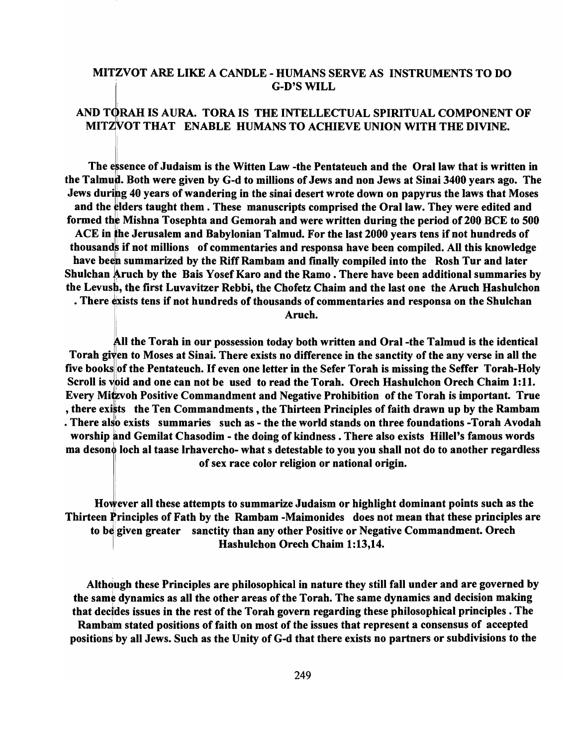#### MITZVOT ARE LIKE A CANDLE - HUMANS SERVE AS INSTRUMENTS TO DO G-D'SWILL

#### AND TORAH IS AURA. TORA IS THE INTELLECTUAL SPIRITUAL COMPONENT OF MITZVOT THAT ENABLE HUMANS TO ACHIEVE UNION WITH THE DIVINE.

The essence of Judaism is the Witten Law -the Pentateuch and the Oral law that is written in the Talmud. Both were given by G-d to millions of Jews and non Jews at Sinai 3400 years ago. The Jews during 40 years of wandering in the sinai desert wrote down on papyrus the laws that Moses and the elders taught them. These manuscripts comprised the Oral law. They were edited and formed the Mishna Tosephta and Gemorah and were written during the period of 200 BCE to 500 ACE in 'he Jerusalem and Babylonian Talmud. For the last 2000 years tens if not hundreds of thousands if not millions of commentaries and responsa have been compiled. All this knowledge have been summarized by the Riff Rambam and finally compiled into the Rosh Tur and later Shulchan Aruch by the Bais Yosef Karo and the Ramo. There have been additional summaries by the Levush, the first Luvavitzer Rebbi, the Chofetz Chaim and the last one the Aruch Hashulchon . There exists tens if not hundreds of thousands of commentaries and responsa on the Shulchan

Aruch.

~II the Torah in our possession today both written and Oral-the Talmud is the identical Torah given to Moses at Sinai. There exists no difference in the sanctity of the any verse in all the five books of the Pentateuch. If even one letter in the Sefer Torah is missing the Seffer Torah-Holy Scroll is void and one can not be used to read the Torah. Orech Hashulchon Orech Chaim 1:11. Every Mitzvoh Positive Commandment and Negative Prohibition of the Torah is important. True , there exists the Ten Commandments, the Thirteen Principles of faith drawn up by the Rambam . There also exists summaries such as - the the world stands on three foundations -Torah Avodah worship and Gemilat Chasodim - the doing of kindness. There also exists Hillel's famous words ma desono loch al taase Irhavercho- what s detestable to you you shall not do to another regardless of sex race color religion or national origin.

However all these attempts to summarize Judaism or highlight dominant points such as the Thirteen Principles of Fath by the Rambam -Maimonides does not mean that these principles are to be given greater sanctity than any other Positive or Negative Commandment. Orech Hashulchon Orech Chaim 1:13,14.

Although these Principles are philosophical in nature they still fall under and are governed by the same dynamics as all the other areas of the Torah. The same dynamics and decision making that decides issues in the rest of the Torah govern regarding these philosophical principles. The Rambam stated positions of faith on most of the issues that represent a consensus of accepted positions by all Jews. Such as the Unity of G-d that there exists no partners or subdivisions to the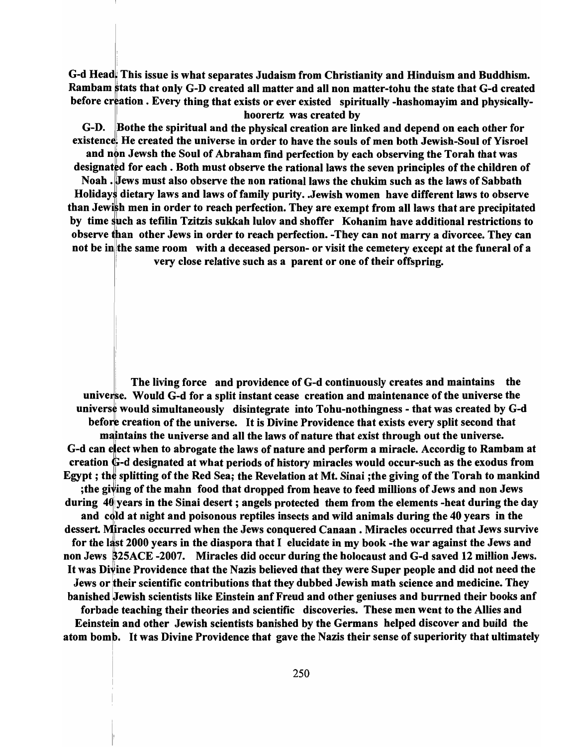G-d Head: This issue is what separates Judaism from Christianity and Hinduism and Buddhism. Rambam stats that only G-D created all matter and all non matter-tohu the state that G-d created before creation . Every thing that exists or ever existed spiritually -hashomayim and physicallyhoorertz was created by

G-D. Bothe the spiritual and the physical creation are linked and depend on each other for existence. He created the universe in order to have the souls of men both Jewish-Soul of Yisroel and non Jewsh the Soul of Abraham find perfection by each observing the Torah that was designated for each. Both must observe the rational laws the seven principles of the children of

Noah .lJews must also observe the non rational laws the chukim such as the laws of Sabbath Holidays dietary laws and laws of family purity. .Jewish women have different laws to observe than Jewish men in order to reach perfection. They are exempt from all laws that are precipitated by time such as tefilin Tzitzis sukkah lulov and shoffer Kohanim have additional restrictions to observe han other Jews in order to reach perfection. -They can not marry a divorcee. They can not be in the same room with a deceased person- or visit the cemetery except at the funeral of a

very close relative such as a parent or one of their offspring.

The living force and providence of G-d continuously creates and maintains the universe. Would G-d for a split instant cease creation and maintenance of the universe the universe would simultaneously disintegrate into Tohu-nothingness - that was created by G-d before creation of the universe. It is Divine Providence that exists every split second that maintains the universe and all the laws of nature that exist through out the universe. G-d can elect when to abrogate the laws of nature and perform a miracle. Accordig to Rambam at creation G-d designated at what periods of history miracles would occur-such as the exodus from Egypt; the splitting of the Red Sea; the Revelation at Mt. Sinai ; the giving of the Torah to mankind ;the giving of the mahn food that dropped from heave to feed millions of Jews and non Jews during 40 years in the Sinai desert; angels protected them from the elements -heat during the day and cold at night and poisonous reptiles insects and wild animals during the 40 years in the dessert. Miracles occurred when the Jews conquered Canaan. Miracles occurred that Jews survive for the last 2000 years in the diaspora that I elucidate in my book -the war against the Jews and non Jews 325ACE -2007. Miracles did occur during the holocaust and G-d saved 12 million Jews. It was Divine Providence that the Nazis believed that they were Super people and did not need the Jews or their scientific contributions that they dubbed Jewish math science and medicine. They banished Jewish scientists like Einstein anf Freud and other geniuses and burrned their books anf forbade teaching their theories and scientific discoveries. These men went to the Allies and Eeinstein and other Jewish scientists banished by the Germans helped discover and build the atom bomb. It was Divine Providence that gave the Nazis their sense of superiority that ultimately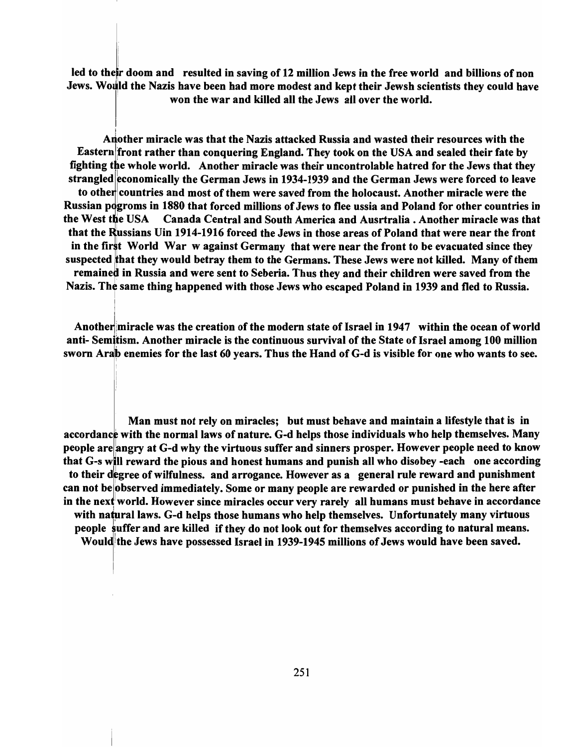led to their doom and resulted in saving of 12 million Jews in the free world and billions of non Jews. Would the Nazis have been had more modest and kept their Jewsh scientists they could have . won the war and killed all the Jews all over the world.

Another miracle was that the Nazis attacked Russia and wasted their resources with the Eastern front rather than conquering England. They took on the USA and sealed their fate by fighting the whole world. Another miracle was their uncontrolable hatred for the Jews that they strangled economically the German Jews in 1934-1939 and the German Jews were forced to leave to other countries and most of them were saved from the holocaust. Another miracle were the Russian pogroms in 1880 that forced millions of Jews to flee ussia and Poland for other countries in the West tie USA Canada Central and South America and Ausrtralia . Another miracle was that that the Russians Uin 1914-1916 forced the Jews in those areas of Poland that were near the front in the first World War w against Germany that were near the front to be evacuated since they suspected that they would betray them to the Germans. These Jews were not killed. Many of them remained in Russia and were sent to Seberia. Thus they and their children were saved from the Nazis. The same thing happened with those Jews who escaped Poland in 1939 and fled to Russia.

Another miracle was the creation of the modern state of Israel in 1947 within the ocean of world anti- Semitism. Another miracle is the continuous survival of the State of Israel among 100 million sworn Arab enemies for the last 60 years. Thus the Hand of G-d is visible for one who wants to see.

Man must not rely on miracles; but must behave and maintain a lifestyle that is in accordance with the normal laws of nature. G-d helps those individuals who help themselves. Many people are angry at G-d why the virtuous suffer and sinners prosper. However people need to know that G-s will reward the pious and honest humans and punish all who disobey -each one according to their degree of wilfulness. and arrogance. However as a general rule reward and punishment can not be observed immediately. Some or many people are rewarded or punished in the here after in the next world. However since miracles occur very rarely all humans must behave in accordance with natural laws. G-d helps those humans who help themselves. Unfortunately many virtuous people suffer and are killed if they do not look out for themselves according to natural means. Would the Jews have possessed Israel in 1939-1945 millions of Jews would have been saved.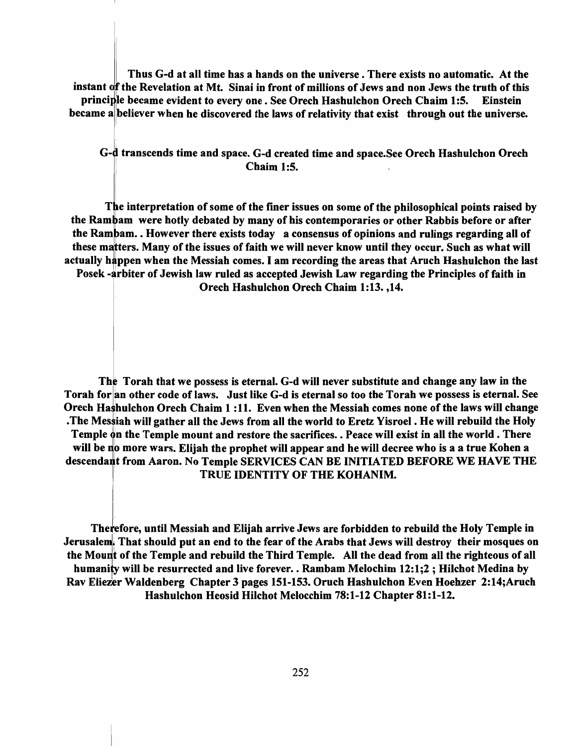Thus G-d at all time has a hands on the universe. There exists no automatic. At the instant of the Revelation at Mt. Sinai in front of millions of Jews and non Jews the truth of this principle became evident to every one. See Orech Hashulchon Orech Chaim 1:5. Einstein became a believer when he discovered the laws of relativity that exist through out the universe.

G- transcends time and space. G-d created time and space. See Orech Hashulchon Orech Chaim 1:5.

The interpretation of some of the finer issues on some of the philosophical points raised by the Rambam were hotly debated by many of his contemporaries or other Rabbis before or after the Rambam. . However there exists today a consensus of opinions and rulings regarding all of these matters. Many of the issues of faith we will never know until they occur. Such as what will actually happen when the Messiah comes. I am recording the areas that Aruch Hashulchon the last Posek - arbiter of Jewish law ruled as accepted Jewish Law regarding the Principles of faith in , Orech Hashulchon Orech Chaim 1:13. ,14.

The Torah that we possess is eternal. G-d will never substitute and change any law in the Torah for an other code of laws. Just like G-d is eternal so too the Torah we possess is eternal. See Orech Ha\$hulchon Orech Chaim 1 :11. Even when the Messiah comes none of the laws will change . The Messiah will gather all the Jews from all the world to Eretz Yisroel. He will rebuild the Holy Temple on the Temple mount and restore the sacrifices. . Peace will exist in all the world. There will be no more wars. Elijah the prophet will appear and he will decree who is a a true Kohen a descendant from Aaron. No Temple SERVICES CAN BE INITIATED BEFORE WE HAVE THE

TRUE IDENTITY OF THE KOHANIM.

Therefore, until Messiah and Elijah arrive Jews are forbidden to rebuild the Holy Temple in Jerusalem. That should put an end to the fear of the Arabs that Jews will destroy their mosques on the Mount of the Temple and rebuild the Third Temple. All the dead from all the righteous of all humanity will be resurrected and live forever. . Rambam Melochim 12:1;2; Hilchot Medina by Rav Eliezer Waldenberg Chapter 3 pages 151-153. Oruch Hashulchon Even Hoehzer 2:14;Aruch Hashulchon Heosid Hilchot Melocchim 78:1-12 Chapter 81:1-12.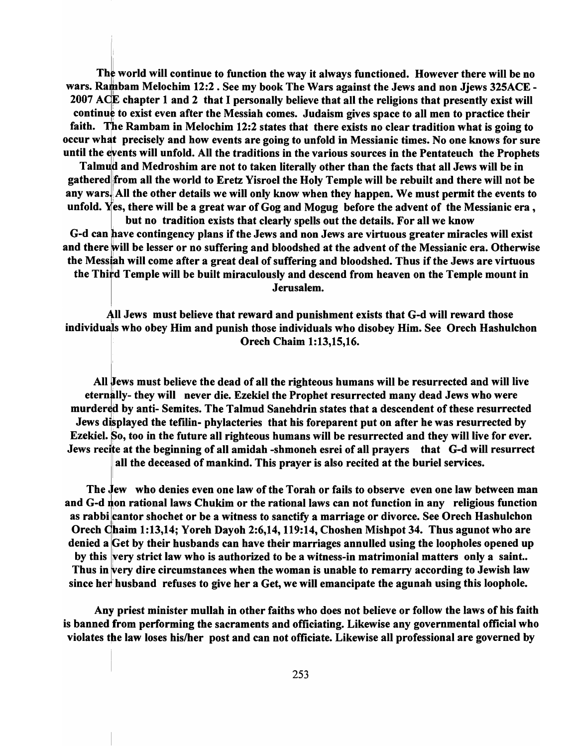The world will continue to function the way it always functioned. However there will be no wars. Rambam Melochim 12:2. See my book The Wars against the Jews and non Jjews 325ACE - $2007$  ACE chapter 1 and 2 that I personally believe that all the religions that presently exist will continue to exist even after the Messiah comes. Judaism gives space to all men to practice their faith. The Rambam in Melochim 12:2 states that there exists no clear tradition what is going to occur what precisely and how events are going to unfold in Messianic times. No one knows for sure until the events will unfold. All the traditions in the various sources in the Pentateuch the Prophets

Talmud and Medroshim are not to taken literally other than the facts that all Jews will be in gathered ifrom all the world to Eretz Yisroel the Holy Temple will be rebuilt and there will not be any wars. All the other details we will only know when they happen. We must permit the events to unfold. Yes, there will be a great war of Gog and Mogug before the advent of the Messianic era,

. but no tradition exists that clearly spells out the details. For all we know G-d can have contingency plans if the Jews and non Jews are virtuous greater miracles will exist and there will be lesser or no suffering and bloodshed at the advent of the Messianic era. Otherwise the Messiah will come after a great deal of suffering and bloodshed. Thus if the Jews are virtuous the Third Temple will be built miraculously and descend from heaven on the Temple mount in Jerusalem.

All Jews must believe that reward and punishment exists that G-d will reward those individuals who obey Him and punish those individuals who disobey Him. See Orech Hashulchon Orech Chaim 1:13,15,16.

All Jews must believe the dead of all the righteous humans will be resurrected and will live eternally- they will never die. Ezekiel the Prophet resurrected many dead Jews who were murdered by anti- Semites. The Talmud Sanehdrin states that a descendent of these resurrected Jews displayed the tefilin- phylacteries that his foreparent put on after he was resurrected by Ezekiel. So, too in the future all righteous humans will be resurrected and they will live for ever. Jews recite at the beginning of all amidah -shmoneh esrei of all prayers that G-d will resurrect all the deceased of mankind. This prayer is also recited at the buriel services.

The Jew who denies even one law of the Torah or fails to observe even one law between man and G-d non rational laws Chukim or the rational laws can not function in any religious function as rabbi cantor shochet or be a witness to sanctify a marriage or divorce. See Orech Hashulchon Orech Chaim 1:13,14; Yoreh Dayoh 2:6,14, 119:14, Choshen Mishpot 34. Thus agunot who are denied a Get by their husbands can have their marriages annulled using the loopholes opened up by this very strict law who is authorized to be a witness-in matrimonial matters only a saint.. Thus in very dire circumstances when the woman is unable to remarry according to Jewish law since her husband refuses to give her a Get, we will emancipate the agunah using this loophole.

Any priest minister mullah in other faiths who does not believe or follow the laws of his faith is banned from performing the sacraments and officiating. Likewise any governmental official who violates the law loses his/her post and can not officiate. Likewise all professional are governed by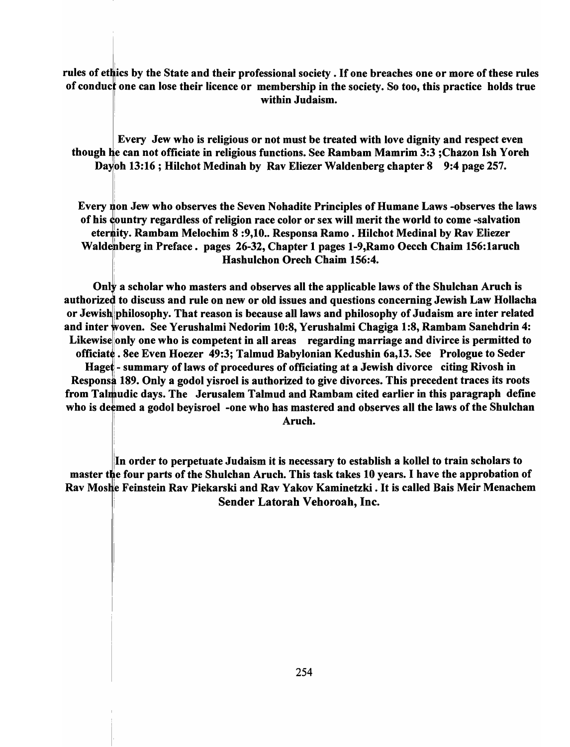rules of ethics by the State and their professional society. If one breaches one or more of these rules If conduct one can lose their licence or membership in the society. So too, this practice holds true within Judaism.

Every Jew who is religious or not must be treated with love dignity and respect even though he can not officiate in religious functions. See Rambam Mamrim 3:3 ;Chazon Ish Yoreh Dayoh 13:16 ; Hilchot Medinah by Rav Eliezer Waldenberg chapter 8 9:4 page 257.

Every non Jew who observes the Seven Nohadite Principles of Humane Laws -observes the laws of his country regardless of religion race color or sex will merit the world to come-salvation eternity. Rambam Melochim 8:9,10.. Responsa Ramo. Hilchot Medinal by Rav Eliezer Waldenberg in Preface. pages 26-32, Chapter 1 pages 1-9, Ramo Oecch Chaim 156: 1aruch Hashulchon Orech Chaim 156:4.

a scholar who masters and observes all the applicable laws of the Shulchan Aruch is authorized to discuss and rule on new or old issues and questions concerning Jewish Law Hollacha or Jewish philosophy. That reason is because all laws and philosophy of Judaism are inter related and inter woven. See Yerushalmi Nedorim 10:8, Yerushalmi Chagiga 1:8, Rambam Sanehdrin 4: Likewise only one who is competent in all areas regarding marriage and divirce is permitted to officiate . 8ee Even Hoezer 49:3; Talmud Babylonian Kedushin 6a,13. See Prologue to Seder Haget - summary of laws of procedures of officiating at a Jewish divorce citing Rivosh in Responsa 189. Only a godol yisroel is authorized to give divorces. This precedent traces its roots from Talmudic days. The Jerusalem Talmud and Rambam cited earlier in this paragraph define who is deemed a godol beyisroel -one who has mastered and observes all the laws of the Shulchan

Aruch.

lIn order to perpetuate Judaism it is necessary to establish a kollel to train scholars to master the four parts of the Shulchan Aruch. This task takes 10 years. I have the approbation of Rav Moshe Feinstein Rav Piekarski and Rav Yakov Kaminetzki . It is called Bais Meir Menachem Sender Latorah Vehoroah, Inc.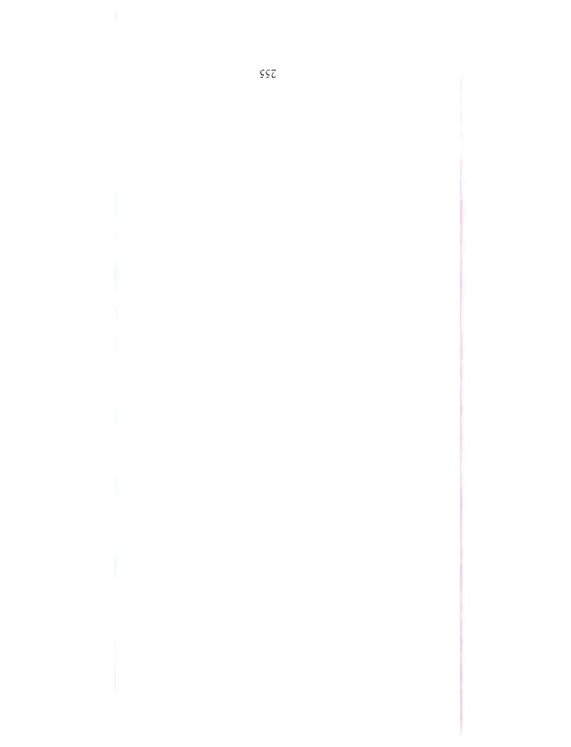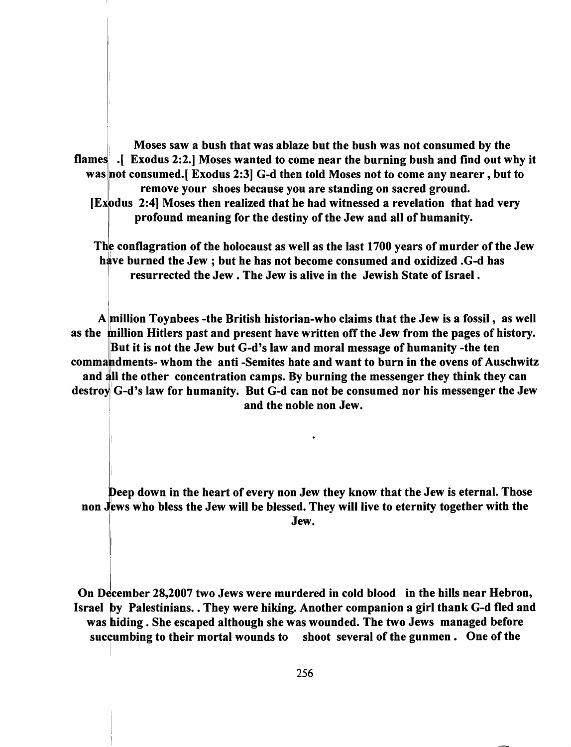Moses saw a bush that was ablaze but the bush was not consumed by the<br>flames [1870]. [Exodus 2:2.] Moses wanted to come near the burning bush and find out why it Moses saw a bush that was ablaze but the bush was not consumed by the was not consumed. [ Exodus 2:3] G-d then told Moses not to come any nearer, but to remove your shoes because you are standing on sacred ground.  $[Exodus 2:4]$  Moses then realized that he had witnessed a revelation that had very profound meaning for the destiny of the Jew and all of humanity.

The conflagration of the holocaust as well as the last 1700 years of murder of the Jew have burned the Jew; but he has not become consumed and oxidized .G-d has resurrected the Jew. The Jew is alive in the Jewish State of Israel.

A million Toynbees -the British historian-who claims that the Jew is a fossil, as well as the million Hitlers past and present have written off the Jew from the pages of history. But it is not the Jew but G-d's law and moral message of humanity -the ten comma<mark>n</mark>dments- whom the anti -Semites hate and want to burn in the ovens of Auschwitz and all the other concentration camps. By burning the messenger they think they can destroy  $G-d$ 's law for humanity. But  $G-d$  can not be consumed nor his messenger the Jew and the noble non Jew.

Deep down in the heart of every non Jew they know that the Jew is eternal. Those non Jews who bless the Jew will be blessed. They will live to eternity together with the Jew.

On December 28,2007 two Jews were murdered in cold blood in the hills near Hebron, Israel by Palestinians. . They were hiking. Another companion a girl thank G-d fled and was hiding. She escaped although she was wounded. The two Jews managed before succumbing to their mortal wounds to shoot several of the gunmen. One of the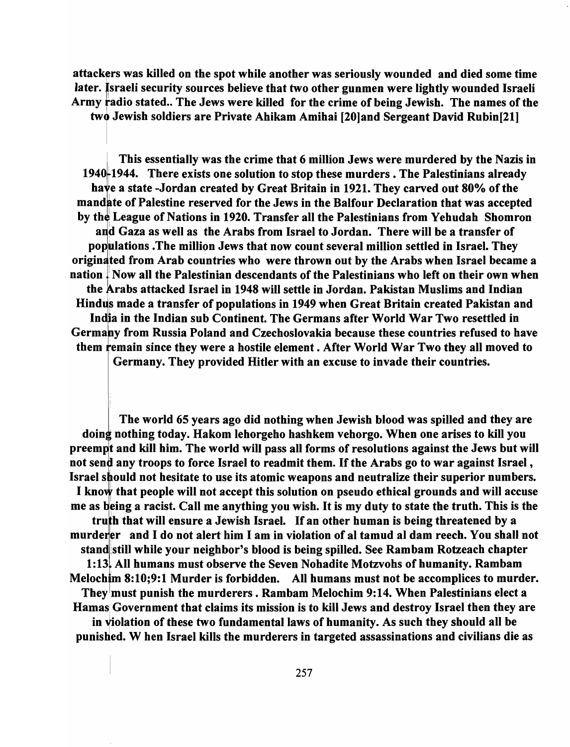attackers was killed on the spot while another was seriously wounded and died some time later. Israeli security sources believe that two other gunmen were lightly wounded Israeli Army radio stated.. The Jews were killed for the crime of being Jewish. The names of the two Jewish soldiers are Private Ahikam Amihai [20]and Sergeant David Rubin[21]

This essentially was the crime that 6 million Jews were murdered by the Nazis in 1940  $\parallel$ 1944. There exists one solution to stop these murders . The Palestinians already have a state -Jordan created by Great Britain in 1921. They carved out 80% of the mandate of Palestine reserved for the Jews in the Balfour Declaration that was accepted by the League of Nations in 1920. Transfer all the Palestinians from Yehudah Shomron and Gaza as well as the Arabs from Israel to Jordan. There will be a transfer of populations. The million Jews that now count several million settled in Israel. They originated from Arab countries who were thrown out by the Arabs when Israel became a nation . Now all the Palestinian descendants of the Palestinians who left on their own when the Arabs attacked Israel in 1948 will settle in Jordan. Pakistan Muslims and Indian Hindus made a transfer of populations in 1949 when Great Britain created Pakistan and India in the Indian sub Continent. The Germans after World War Two resettled in Germany from Russia Poland and Czechoslovakia because these countries refused to have them remain since they were a hostile element. After World War Two they all moved to , Germany. They provided Hitler with an excuse to invade their countries.

The world 65 years ago did nothing when Jewish blood was spilled and they are doing nothing today. Hakom lehorgeho hashkem vehorgo. When one arises to kill you preempt and kill him. The world will pass all forms of resolutions against the Jews but will not send any troops to force Israel to readmit them. If the Arabs go to war against Israel, Israel should not hesitate to use its atomic weapons and neutralize their superior numbers. I know that people will not accept this solution on pseudo ethical grounds and will accuse me as being a racist. Call me anything you wish. It is my duty to state the truth. This is the truth that will ensure a Jewish Israel. If an other human is being threatened by a murderer and I do not alert him I am in violation of al tamud al dam reech. You shall not stand still while your neighbor's blood is being spilled. See Rambam Rotzeach chapter 1:13. All humans must observe the Seven Nohadite Motzvohs of humanity. Rambam Melochim 8:10;9:1 Murder is forbidden. All humans must not be accomplices to murder. They must punish the murderers. Rambam Melochim 9:14. When Palestinians elect a Hamas; Government that claims its mission is to kill Jews and destroy Israel then they are in violation of these two fundamental laws of humanity. As such they should all be punished. W hen Israel kills the murderers in targeted assassinations and civilians die as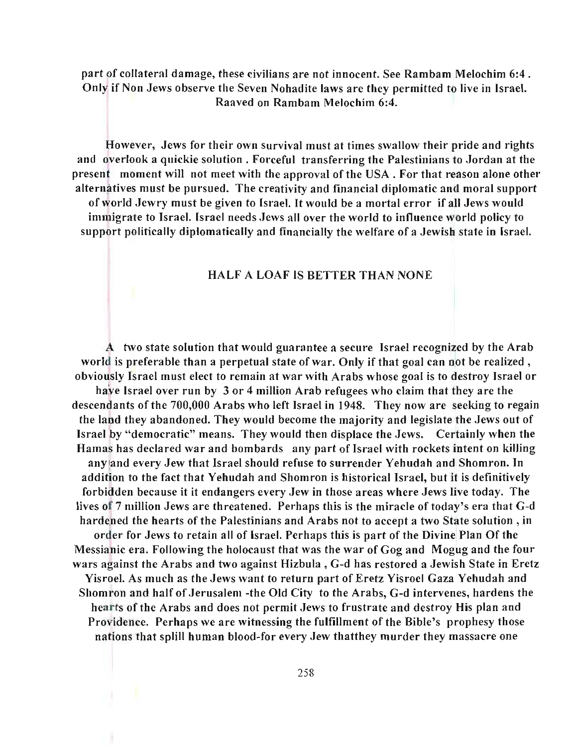part of collateral damage, these civilians are not innocent. See Rambam Melochim 6:4. Only if Non Jews observe the Seven Nohadite laws are they permitted to live in Israel. Raaved on Rambam Melochim 6:4.

However, Jews for their own survival must at times swallow their pride and rights and overlook a quickie solution. Forceful transferring the Palestinians to Jordan at the present moment will not meet with the approval of the USA. For that reason alone other alternatives must be pursued. The creativity and financial diplomatic and moral support of world Jewry must be given to Israel. It would be a mortal error if all Jews would immigrate to Israel. Israel needs Jews all over the world to influence world policy to support politically diplomatically and financially the welfare of a Jewish state in Israel.

#### HALF A LOAF IS BETTER THAN NONE

A two state solution that would guarantee a secure Israel recognized by the Arab world is preferable than a perpetual state of war. Only if that goal can not be realized, obvionsly Israel must elect to remain at war with Arabs whose goal is to destroy Israel or have Israel over run by 3 or 4 million Arab refugees who claim that they are the descendants of the 700,000 Arabs who left Israel in 1948. They now are seeking to regain the land they abandoned. They would become the majority and legislate the Jews out of Israel by "democratic" means. They would then displace the Jews. Certainly when the Hamas has declared war and bombards any part of Israel with rockets intent on killing any and every Jew that Israel should refuse to surrender Yehudah and Shomron. In addition to the fact that Yehudah and Shomron is historical Israel, but it is definitively forbidden because it it endangers every Jew in those areas where Jews live today. The lives of 7 million Jews are threatened. Perhaps this is the miracle of today's era that G-d hardened the hearts of the Palestinians and Arabs not to accept a two State solution, in order for Jews to retain all of Israel. Perhaps this is part of the Divine Plan Of the Messianic era. Following the holocaust that was the war of Gog and Mogug and the four wars against the Arabs and two against Hizbula , G-d has restored a Jewish State in Eretz Yisroel. As much as the Jews want to return part of Eretz Yisroel Gaza Yehudah and Shomron and half of Jerusalem -the Old City to the Arabs, G-d intervenes, hardens the hearts of the Arabs and does not permit Jews to frustrate and destroy His plan and Providence. Perhaps we are witnessing the fulfillment of the Bible's prophesy those nations that splill human blood-for every Jew thatthey murder they massacre one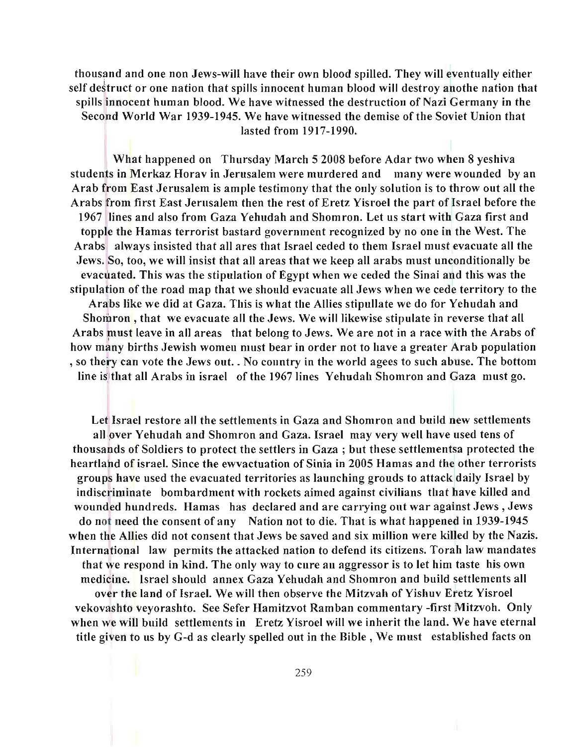thousand and one non Jews-will have their own blood spilled. They will eventually either self destruct or one nation that spills innocent human blood will destroy anothe nation that spills innocent human blood. We have witnessed the destruction of Nazi Germany in the Second World War 1939-1945. We have witnessed the demise of the Soviet Union that lasted from 1917-1990.

What happened on Thursday March 5 2008 before Adar two when 8 yeshiva students in Merkaz Horav in Jerusalem were murdered and many were wounded by an Arab from East Jerusalem is ample testimony that the only solution is to throw out all the Arabs from first East Jerusalem then the rest of Eretz Yisroel the part of Israel before the 1967 lines and also from Gaza Yehudah and Shomron. Let us start with Gaza first and topple the Hamas terrorist bastard government recognized by no one in the West. The Arabs always insisted that all ares that Israel ceded to them Israel must evacuate all the Jews. So, too, we will insist that all areas that we keep all arabs must unconditionally be evacuated. This was the stipulation of Egypt when we ceded the Sinai and this was the stipulation of the road map that we should evacuate all Jews when we cede territory to the Arabs like we did at Gaza. This is what the Allies stipullate we do for Yehudah and Shomron, that we evacuate all the Jews. We will likewise stipulate in reverse that all Arabs must leave in all areas that belong to Jews. We are not in a race with the Arabs of how many births Jewish women must bear in order not to have a greater Arab population , so thery can vote the Jews out. . No country in the world agees to such abuse. The bottom line is that all Arabs in israel of the 1967 lines Yehudah Shomron and Gaza must go.

Let Israel restore all the settlements in Gaza and Shomron and build new settlements all over Yehudah and Shomron and Gaza. Israel may very well have used tens of thousa nds of Soldiers to protect the settlers in Gaza ; but these settlementsa protected the heartland of israel. Since the ewvactuation of Sinia in 2005 Hamas and the other terrorists groups have used the evacuated territories as launching grouds to attack daily Israel by indiscriminate bombardment with rockets aimed against civilians that have killed and wounded hundreds. Hamas has declared and are carrying out war against Jews, Jews do not need the consent of any Nation not to die. That is what happened in 1939-1945 when the Allies did not consent that Jews be saved and six million were killed by the Nazis. International law permits the attacked nation to defend its citizens. Torah law mandates that we respond in kind. The only way to cure an aggressor is to let him taste his own medicine. Israel should annex Gaza Yehudah and Shomron and build settlements all over the land of Israel. We will then observe the Mitzvah of Yishuv Eretz Yisroel vekovashto veyorashto. See Sefer Hamitzvot Ramban commentary -first Mitzvoh. Only when we will build settlements in Eretz Yisroel will we inherit the land. We have eternal title given to us by G-d as clearly spelled out in the Bible, We must established facts on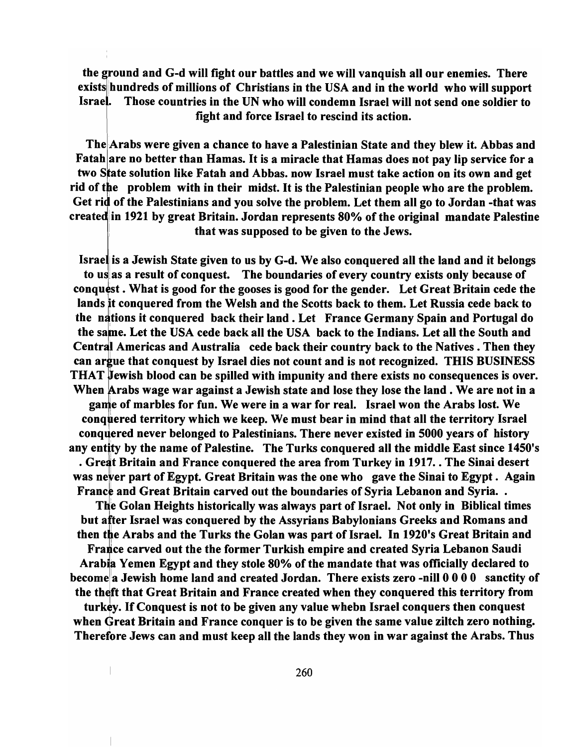the ground and G-d will fight our battles and we will vanquish all our enemies. There exists hundreds of millions of Christians in the USA and in the world who will support Israel. Those countries in the UN who will condemn Israel will not send one soldier to fight and force Israel to rescind its action.

The Arabs were given a chance to have a Palestinian State and they blew it. Abbas and Fatah are no better than Hamas. It is a miracle that Hamas does not pay lip service for a two State solution like Fatah and Abbas. now Israel must take action on its own and get rid of the problem with in their midst. It is the Palestinian people who are the problem. Get rid of the Palestinians and you solve the problem. Let them all go to Jordan -that was created in 1921 by great Britain. Jordan represents 80% of the original mandate Palestine that was supposed to be given to the Jews.

Israel is a Jewish State given to us by G-d. We also conquered all the land and it belongs to us as a result of conquest. The boundaries of every country exists only because of conquest. What is good for the gooses is good for the gender. Let Great Britain cede the lands it conquered from the Welsh and the Scotts back to them. Let Russia cede back to the nations it conquered back their land. Let France Germany Spain and Portugal do the same. Let the USA cede back all the USA back to the Indians. Let all the South and Central Americas and Australia cede back their country back to the Natives. Then they can argue that conquest by Israel dies not count and is not recognized. THIS BUSINESS THAT  $\mu$  ewish blood can be spilled with impunity and there exists no consequences is over. When Arabs wage war against a Jewish state and lose they lose the land. We are not in a game of marbles for fun. We were in a war for real. Israel won the Arabs lost. We conquered territory which we keep. We must bear in mind that all the territory Israel conquered never belonged to Palestinians. There never existed in 5000 years of history any entity by the name of Palestine. The Turks conquered all the middle East since 1450's . Great Britain and France conquered the area from Turkey in 1917. . The Sinai desert was never part of Egypt. Great Britain was the one who gave the Sinai to Egypt. Again France and Great Britain carved out the boundaries of Syria Lebanon and Syria..

The Golan Heights historically was always part of Israel. Not only in Biblical times I but a ter Israel was conquered by the Assyrians Babylonians Greeks and Romans and then the Arabs and the Turks the Golan was part of Israel. In 1920's Great Britain and France carved out the the former Turkish empire and created Syria Lebanon Saudi Arabia Yemen Egypt and they stole 80% of the mandate that was officially declared to become a Jewish home land and created Jordan. There exists zero -nill  $0\ 0\ 0\ 0\$  sanctity of the theft that Great Britain and France created when they conquered this territory from turkey. If Conquest is not to be given any value whebn Israel conquers then conquest when Great Britain and France conquer is to be given the same value ziltch zero nothing. Therefore Jews can and must keep all the lands they won in war against the Arabs. Thus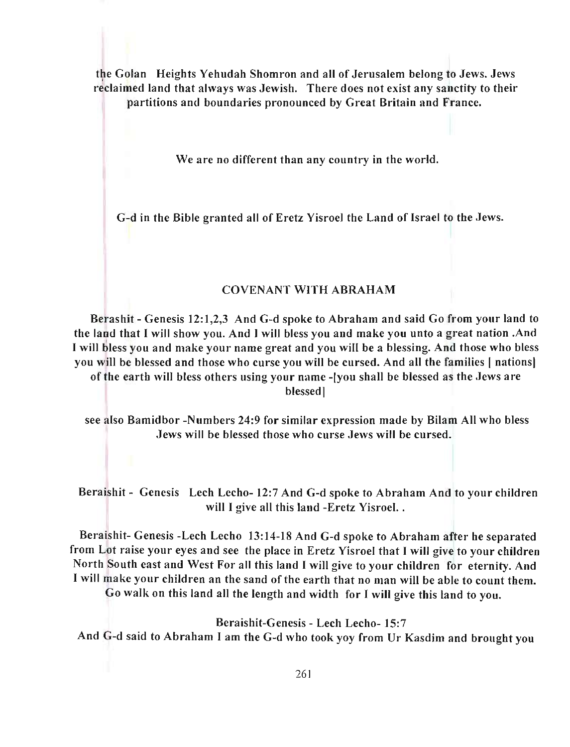the Golan Heights Yehudah Shomron and all of Jerusalem belong to Jews. Jews reclaimed land that always was Jewish. There does not exist any sanctity to their partitions and boundaries pronounced by Great Britain and France.

We are no different than any country in the world.

G-d in the Bible granted all of Eretz Yisroel the Land of Israel to the Jews.

#### COVENANT WITH ABRAHAM

Berashit - Genesis 12:1,2,3 And G-d spoke to Abraham and said Go from your land to the land that I wiII show you. And I wiII bless you and make you unto a great nation .And I wiII bless you and make your name great and you wiII be a blessing. And those who bless you will be blessed and those who curse you will be cursed. And all the families [ nations] of the earth wiII bless others using your name -Iyou shall be blessed as the Jews are blessed)

see also Bamidbor -Numbers 24:9 for similar expression made by Bilam All who bless Jews wiII be blessed those who curse Jews wiII be cursed.

Beraishit - Genesis Lech Lecho- 12:7 And G-d spoke to Abraham And to your children will I give all this land -Eretz Yisroel..

Beraishit- Genesis -Lech Lecho 13: 14-18 And G-d spoke to Abraham after he separated from Lot raise your eyes and see the place in Eretz Yisroel that I will give to your children North South east and West For all this land I will give to your children for eternity. And I will make your children an the sand of the earth that no man will be able to count them.

Go walk on this land all the length and width for I will give this land to you.

Beraishit-Genesis - Lech Lecho- 15:7

And G-d said to Abraham I am the G-d who took yoy from Ur Kasdim and brought you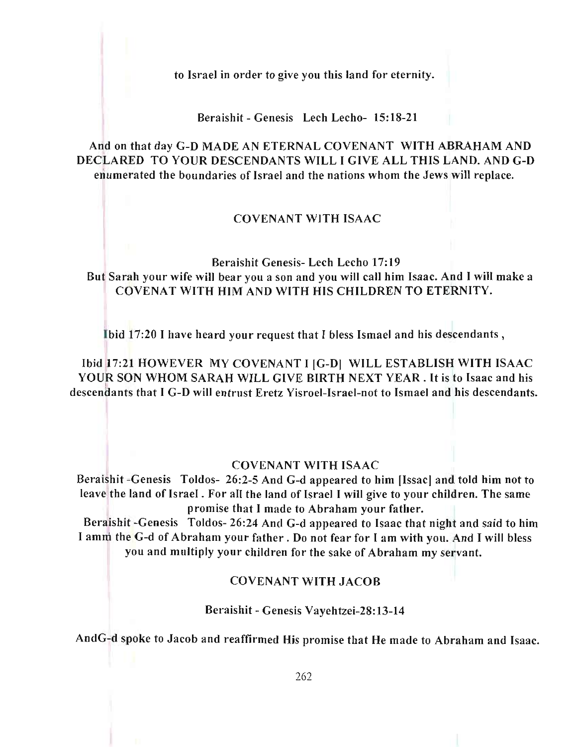to Israel in order to give you this land for eternity.

Beraishit - Genesis Lech Lecho- 15:18-21

And on that day G-D MADE AN ETERNAL COVENANT WITH ABRAHAM AND DECLARED TO YOUR DESCENDANTS WILL I GIVE ALL THIS LAND. AND G-D enumerated the boundaries of Israel and the nations whom the Jews will replace.

# COVENANT WITH ISAAC

Beraishit Genesis- Lech Lecho 17:19

But Sarah your wife will bear you a son and you will call him Isaac. And I will make a COVENAT WITH HIM AND WITH HIS CHILDREN TO ETERNITY.

Ibid 17:20 I have heard your request that I bless Ismael and his descendants,

Ibid 17:21 HOWEVER MY COVENANT I IG-DJ WILL ESTABLISH WITH ISAAC YOUR SON WHOM SARAH WILL GIVE BIRTH NEXT YEAR. It is to Isaac and his descendants that I G-D will entrust Eretz Yisroel-Israel-not to Ismael and his descendants.

### COVENANT WITH ISAAC

Beraishit -Genesis Toldos- 26:2-5 And G-d appeared to him [Issac] and told him not to leave the land of Israel. For all the land of Israel I will give to your children. The same promise that I made to Abraham your father.

Beraishit -Genesis Toldos- 26:24 And G-d appeared to Isaac that night and said to him I amm the G-d of Abraham your father. Do not fear for I am with you. And I will bless you and multiply your children for the sake of Abraham my servant.

### COVENANT WITH JACOB

Beraishit - Genesis Vayehtzei-28:13-1 4

AndG-d spoke to Jacob and reaffirmed His promise that He made to Abraham and Isaac.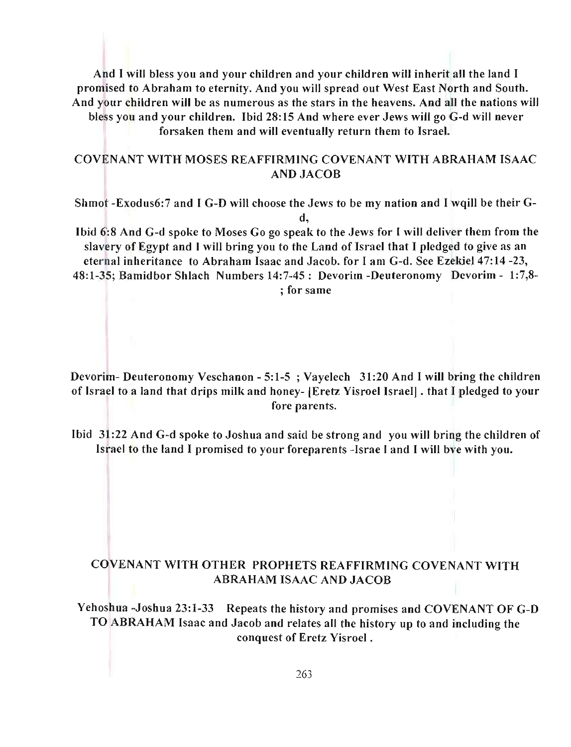And I will bless you and your children and your children will inherit all the land I promised to Abraham to eternity. And you will spread out West East North and South. And your children will be as numerous as the stars in the heavens. And all the nations will bless you and your children. Ibid 28:15 And where ever Jews will go G-d will never forsaken them and will eventually return them to Israel.

## COVENANT WITH MOSES REAFFIRMING COVENANT WITH ABRAHAM ISAAC AND JACOB

Shmot -Exodus6:7 and I G-D will choose the Jews to be my nation and I wqill be their Gd,

Ibid 6:8 And G-d spoke to Moses Go go speak to the Jews for I will deliver them from the slavery of Egypt and I will bring you to the Land of Israel that I pledged to give as an eternal inheritance to Abraham Isaac and Jacob. for I am G-d. See Ezekiel 47:14 -23, 48:1-35; Bamidbor Shlach Numbers 14:7-45 : Devorim - Deuteronomy Devorim - 1:7,8-; for same

Devorim- Deuteronomy Veschanon - 5:1-5 ; Vayelech 31 :20 And I will bring the children of Israel to a land that drips milk and honey- [Eretz Yisroel Israel] . that I pledged to your fore parents.

Ibid 31 :22 And G-d spoke to Joshua and said be strong and you will bring the children of Israel to the land I promised to your foreparents -Israe I and I will bye with you.

# COVENANT WITH OTHER PROPHETS REAFFIRMING COVENANT WITH ABRAHAM ISAAC AND JACOB

Yehoshua -Joshua 23:1-33 Repeats the history and promises and COVENANT OF G-D TO ABRAHAM Isaac and Jacob and relates all the history up to and including the conquest of Eretz Yisroel .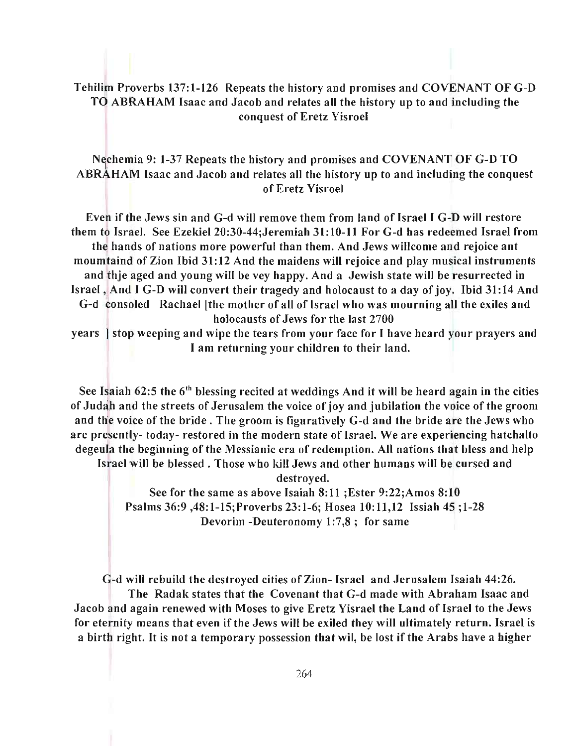# Tehilim Proverbs 137:1-126 Repeats the history and promises and COVENANT OF G-D TO ABRAHAM Isaac and Jacob and relates all the history up to and including the conquest of Eretz Yisroel

# Nechemia 9: 1-37 Repeats the history and promises and COVENANT OF G-D TO ABRAHAM Isaac and Jacob and relates all the history up to and including the conquest of Eretz Yisroel

Even if the Jews sin and G-d will remove them from land of Israel I G-D will restore them to Israel. See Ezekiel 20:30-44;Jeremiah 31:10-11 For G-d has redeemed Israel from the hands of nations more powerful than them. And Jews willcome and rejoice ant moumtaind of Zion Ibid 31:12 And the maidens will rejoice and play musical instruments and thje aged and young will be vey happy. And a Jewish state will be resurrected in Israel, And I G-D will convert their tragedy and holocaust to a day of joy. Ibid 31:14 And G-d consoled Rachael [the mother of all of Israel who was mourning all the exiles and holocausts of Jews for the last 2700

years I stop weeping and wipe the tears from your face for I have heard your prayers and I am returning your children to their land.

See Isaiah 62:5 the 6<sup>th</sup> blessing recited at weddings And it will be heard again in the cities of Judah and the streets of Jerusalem the voice of joy and jubilation the voice of the groom and the voice of the bride. The groom is figuratively G-d and the bride are the Jews who are presently- today- restored in the modern state of Israel. We are experiencing hatchalto degeula the beginning of the Messianic era of redemption. All nations that bless and help

Israel will be blessed. Those who kill Jews and other humans will be cursed and

destroyed.

See for the same as above Isaiah 8:11 ;Ester 9:22;Amos 8:10 Psalms 36:9 ,48:1-15;Proverbs 23:1-6; Hosea 10:11,12 Issiah 45 ;1-28 Devorim -Deuteronomy 1:7,8; for same

G-d will rebuild the destroyed cities of Zion- Israel and Jerusalem Isaiah 44:26.

The Radak states that the Covenant that G-d made with Abraham Isaac and Jacob and again renewed with Moses to give Eretz Yisrael the Land of Israel to the Jews for eternity means that even if the Jews will be exiled they will ultimately return. Israel is a birth right. It is not a temporary possession that wil, be lost if the Arabs have a higher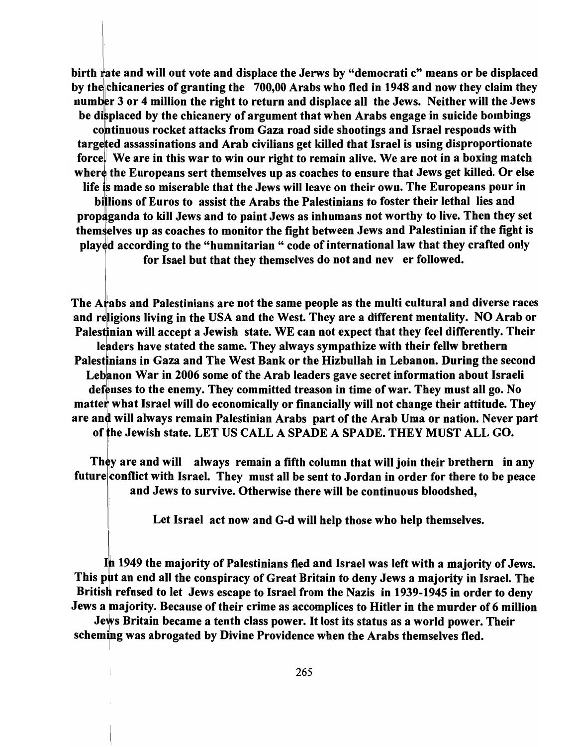birth rate and will out vote and displace the Jerws by "democrati c" means or be displaced by the chicaneries of granting the  $700,00$  Arabs who fled in 1948 and now they claim they number 3 or 4 million the right to return and displace all the Jews. Neither will the Jews be displaced by the chicanery of argument that when Arabs engage in suicide bombings

continuous rocket attacks from Gaza road side shootings and Israel responds with targeted assassinations and Arab civilians get killed that Israel is using disproportionate force. We are in this war to win our right to remain alive. We are not in a boxing match where the Europeans sert themselves up as coaches to ensure that Jews get killed. Or else life is made so miserable that the Jews will leave on their own. The Europeans pour in

billions of Euros to assist the Arabs the Palestinians to foster their lethal lies and propaganda to kill Jews and to paint Jews as inhumans not worthy to live. Then they set themselves up as coaches to monitor the fight between Jews and Palestinian if the fight is played according to the "humnitarian " code of international law that they crafted only

for Isael but that they themselves do not and nev er followed.

The Arabs and Palestinians are not the same people as the multi cultural and diverse races and religions living in the USA and the West. They are a different mentality. NO Arab or Palestinian will accept a Jewish state. WE can not expect that they feel differently. Their leaders have stated the same. They always sympathize with their fellw brethern Palestinians in Gaza and The West Bank or the Hizbullah in Lebanon. During the second Lebanon War in 2006 some of the Arab leaders gave secret information about Israeli defenses to the enemy. They committed treason in time of war. They must all go. No matter what Israel will do economically or financially will not change their attitude. They are and will always remain Palestinian Arabs part of the Arab Uma or nation. Never part

of he Jewish state. LET US CALL A SPADE A SPADE. THEY MUST ALL GO.

They are and will always remain a fifth column that will join their brethern in any future conflict with Israel. They must all be sent to Jordan in order for there to be peace and Jews to survive. Otherwise there will be continuous bloodshed,

Let Israel act now and G-d will help those who help themselves.

In 1949 the majority of Palestinians fled and Israel was left with a majority of Jews. This put an end all the conspiracy of Great Britain to deny Jews a majority in Israel. The British refused to let Jews escape to Israel from the Nazis in 1939-1945 in order to deny Jews a majority. Because of their crime as accomplices to Hitler in the murder of 6 million

Jews Britain became a tenth class power. It lost its status as a world power. Their scheming was abrogated by Divine Providence when the Arabs themselves fled.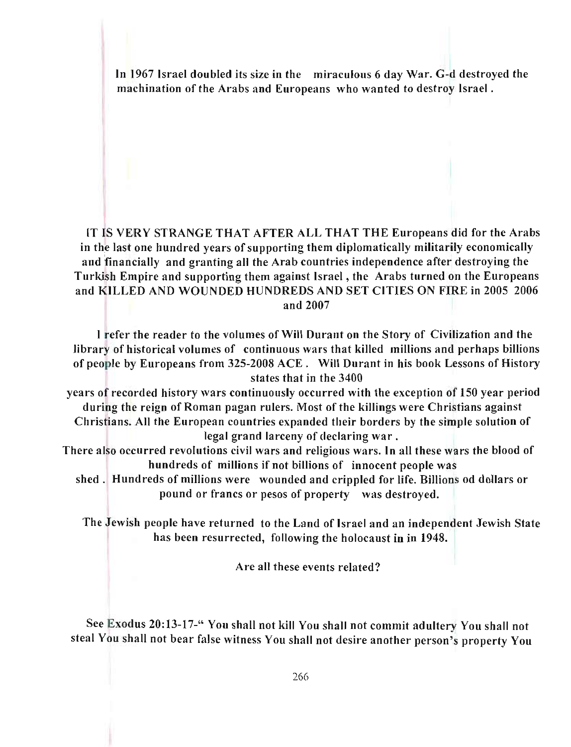**In** 1967 Israel doubled its size in the miraculous 6 day War. G-d destroyed the machination of the Arabs and Europeans who wanted to destroy Israel.

IT IS VERY STRANGE THAT AFTER ALL THAT THE Europeans did for the Arabs in the last one hundred years of supporting them diplomatically militarily economically and financially and granting all the Arab countries independence after destroying the Turkish Empire and supporting them against Israel, the Arabs turned on the Europeans and KILLED AND WOUNDED HUNDREDS AND SET CITIES ON FIRE in 2005 2006 and 2007

I refer the reader to the volumes of Will Durant on the Story of Civilization and the library of historical volumes of continuous wars that killed millions and perhaps billions of people by Europeans from 325-2008 ACE. Will Durant in his book Lessons of History states that in the 3400

- years of recorded history wars continuously occurred with the exception of 150 year period during the reign of Roman pagan rulers. Most of the killings were Christians against Christians. All the European countries expanded their borders by the simple solution of legal grand larceny of declaring war.
- There also occurred revolutions civil wars and religious wars. **In** all these wars the blood of hundreds of millions if not billions of innocent people was
	- shed. Hundreds of millions were wounded and crippled for life. Billions od dollars or pound or francs or pesos of property was destroyed.

The Jewish people have returned to the Land of Israel and an independent Jewish State has been resurrected, following the holocaust in in 1948.

Are all these events related?

See Exodus 20:13-17-" You shall not kill You shall not commit adultery You shall not steal You shall not bear false witness You shall not desire another person's property You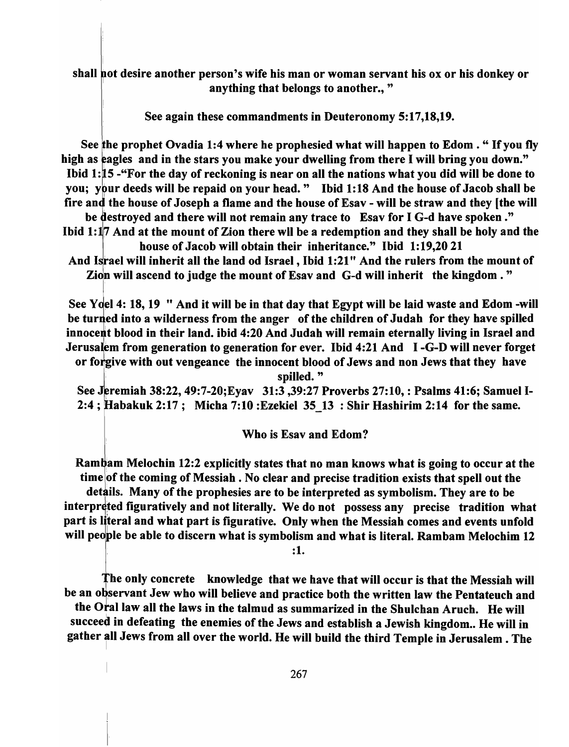shall not desire another person's wife his man or woman servant his ox or his donkey or anything that belongs to another., "

See again these commandments in Deuteronomy 5: 17,18,19.

See the prophet Ovadia 1:4 where he prophesied what will happen to Edom. "If you fly high as eagles and in the stars you make your dwelling from there I will bring you down." Ibid 1: 5 -"For the day of reckoning is near on all the nations what you did will be done to you; your deeds will be repaid on your head." Ibid 1:18 And the house of Jacob shall be fire and the house of Joseph a flame and the house of Esav - will be straw and they [the will

be destroyed and there will not remain any trace to Esav for I G-d have spoken." Ibid 1:17 And at the mount of Zion there wll be a redemption and they shall be holy and the

house of Jacob will obtain their inheritance." Ibid 1:19,2021

And Israel will inherit all the land od Israel, Ibid 1:21" And the rulers from the mount of Zion will ascend to judge the mount of Esav and G-d will inherit the kingdom."

See Yoel 4: 18, 19 " And it will be in that day that Egypt will be laid waste and Edom -will be turned into a wilderness from the anger of the children of Judah for they have spilled innocent blood in their land. ibid 4:20 And Judah will remain eternally living in Israel and Jerusalem from generation to generation for ever. Ibid 4:21 And I-G-D will never forget or forgive with out vengeance the innocent blood of Jews and non Jews that they have

spilled."

See Jeremiah 38:22, 49:7-20; Eyav 31:3, 39:27 Proverbs 27:10, : Psalms 41:6; Samuel I-2:4; Habakuk 2:17; Micha 7:10: Ezekiel 35  $13$ : Shir Hashirim 2:14 for the same.

Who is Esav and Edom?

Rambam Melochin 12:2 explicitly states that no man knows what is going to occur at the time of the coming of Messiah. No clear and precise tradition exists that spell out the details. Many of the prophesies are to be interpreted as symbolism. They are to be interpreted figuratively and not literally. We do not possess any precise tradition what part is literal and what part is figurative. Only when the Messiah comes and events unfold will people be able to discern what is symbolism and what is literal. Rambam Melochim 12

**:1.** 

he only concrete knowledge that we have that will occur is that the Messiah will be an observant Jew who will believe and practice both the written law the Pentateuch and the Ofallaw all the laws in the talmud as summarized in the Shulchan Aruch. He will succeed in defeating the enemies of the Jews and establish a Jewish kingdom.. He will in gather all Jews from all over the world. He will build the third Temple in Jerusalem. The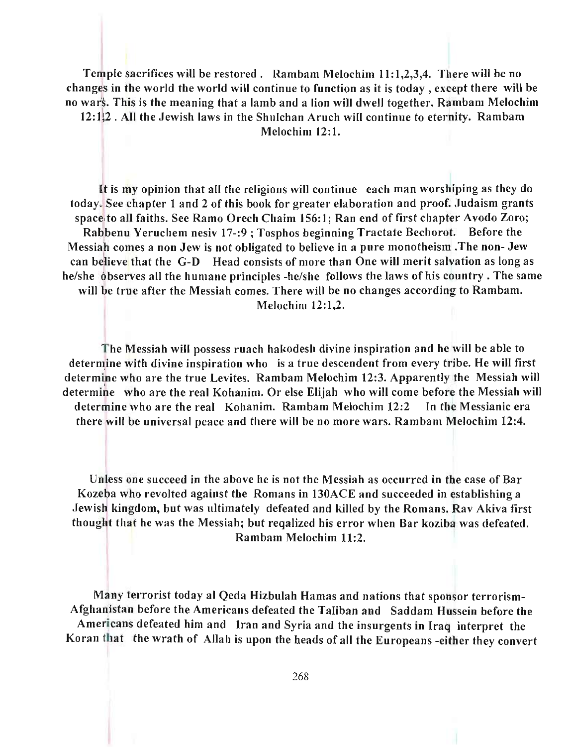Temple sacrifices will be restored. Rambam Melochim 11:1,2,3,4. There will be no changes in the world the world will continue to function as it is today, except there will be no wars. This is the meaning that a lamb and a lion will dwell together. Rambam Melochim 12: 1,2. All the Jewish laws in the Shulchan Aruch will continue to eternity. Rambam Melochim 12: 1.

It is my opinion that all the religions will continue each man worshiping as they do today. See chapter 1 and 2 of this book for greater elaboration and proof. Judaism grants space to all faiths. See Ramo Orech Chaim 156:1; Ran end of first chapter Avodo Zoro; Rabbenu Yeruchem nesiv 17-:9 ; Tosphos beginning Tractate Bechorot. Before the Messiah comes a non Jew is not obligated to believe in a pure monotheism .The non- Jew can believe that the G-D Head consists of more than One will merit salvation as long as he/she observes all the humane principles -he/she follows the laws of his country. The same will be true after the Messiah comes. There will be no changes according to Rambam. Melochim 12:1,2.

The Messiah will possess ruach hakodesh divine inspiration and he will be able to determine with divine inspiration who is a true descendent from every tribe. He will first determine who are the true Levites. Rambam Melochim 12:3. Apparently the Messiah will determine who are the real Kohanim. Or else Elijah who will come before the Messiah will determine who are the real Kohanim. Rambam Melochim 12:2 In the Messianic era there vill be universal peace and there will be no more wars. Rambam Melochim 12:4.

Unless one succeed in the above he is not the Messiah as occurred in the case of Bar Kozeba who revolted against the Romans in 130ACE and succeeded in establishing a Jewish kingdom, but was ultimately defeated and killed by the Romans. Rav Akiva first thought that he was the Messiah; but reqalized his error when Bar koziba was defeated. Rambam Melochim 11 :2.

Many terrorist today al Qeda Hizbulah Hamas and nations that sponsor terrorism-Afghanistan before the Americans defeated the Taliban and Saddam Hussein before the Americans defeated him and Iran and Syria and the insurgents in Iraq interpret the Koran that the wrath of Allah is upon the heads of all the Europeans -either they convert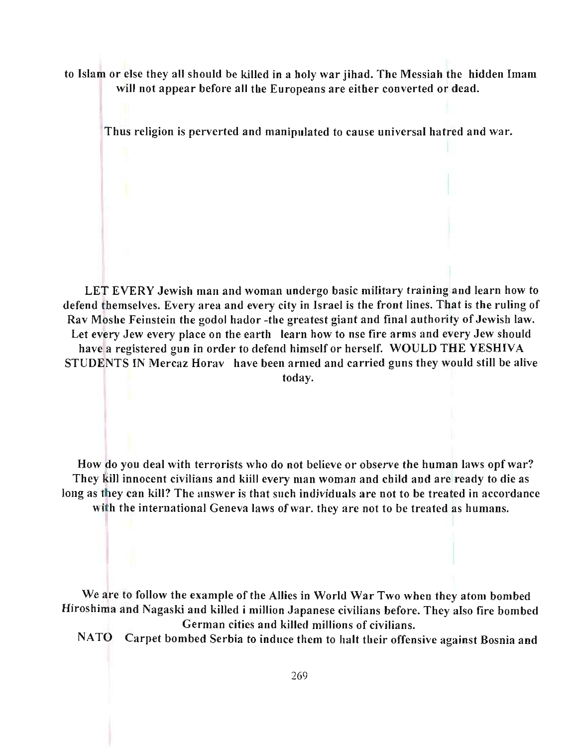to Islam or else they all should be killed in a holy war jihad. The Messiah the hidden Imam will not appear before all the Europeans are either converted or dead.

Thus religion is perverted and manipulated to cause universal hatred and war.

LET EVERY Jewish man and woman undergo basic military training and learn how to defend themselves. Every area and every city in Israel is the front lines. That is the ruling of Rav Moshe Feinstein the godol hador -the greatest giant and final authority of Jewish law. Let every Jew every place on the earth learn how to use fire arms and every Jew should have a registered gun in order to defend himself or herself. WOULD THE YESHIVA STUDENTS IN Mercaz Horav have been armed and carried guns they would still be alive today.

How do you deal with terrorists who do not believe or observe the human laws opfwar? They kill innocent civilians and kiill every man woman and child and are ready to die as long as they can kill? The answer is that such individuals are not to be treated in accordance with the international Geneva laws of war. they are not to be treated as humans.

We are to follow the example of the Allies in World War Two when they atom bombed Hiroshima and Nagaski and killed i million Japanese civilians before. They also fire bombed German cities and killed millions of civilians.

NATO Carpet bombed Serbia to induce them to halt their offensive against Bosnia and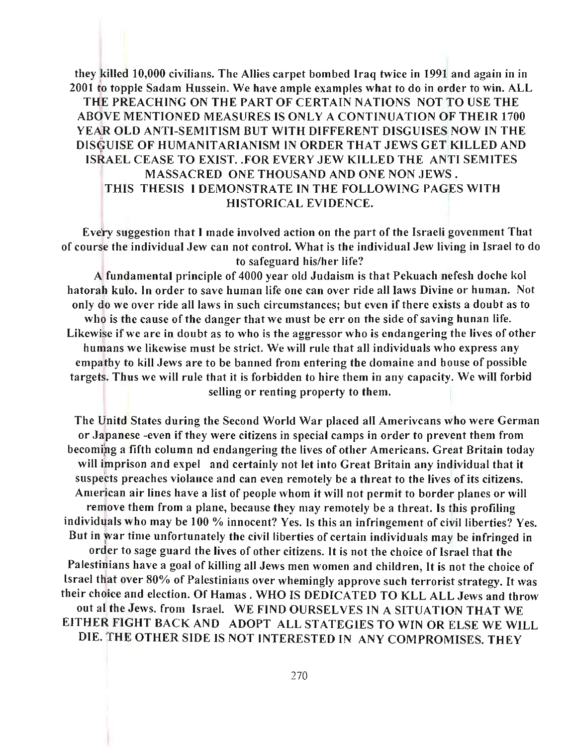they killed 10,000 civilians. The Allies carpet bombed Iraq twice in 1991 and again in in *2001 to* topple Sadam Hussein. We have ample examples what to do in order to win. ALL THE PREACHING ON THE PART OF CERTAIN NATIONS NOT TO USE THE ABOVE MENTIONED MEASURES IS ONLY A CONTINUATION OF THEIR 1700 YEAR OLD ANTI-SEMITISM BUT WITH DIFFERENT DISGUISES NOW IN THE DISGUISE OF HUMANITARIANISM IN ORDER THAT JEWS GET KILLED AND ISRAEL CEASE TO EXIST. FOR EVERY JEW KILLED THE ANTI SEMITES MASSACRED ONE THOUSAND AND ONE NON JEWS . THIS THESIS I DEMONSTRATE IN THE FOLLOWING PAGES WITH HISTORICAL EVIDENCE.

Every suggestion that I made involved action on the part of the Israeli govenment That of course the individual Jew can not control. What is the individual Jew living in Israel to do to safeguard his/her life?

A fundamental principle of 4000 year old Judaism is that Pekuach nefesh doche kol hatorah kulo. In order to save human life one can over ride all laws Divine or human. Not only do we over ride all laws in such circumstances; but even if there exists a doubt as to who is the cause of the danger that we must be err on the side of saving hunan life. Likewise if we are in doubt as to who is the aggressor who is endangering the lives of other humans we likewise must be strict. We will rule that all individuals who express any empathy to kill Jews are to be banned from entering the domaine and house of possible targets. Thus we will rule that it is forbidden to hire them in any capacity. We will forbid selling or renting property to them.

The Unitd States during the Second World War placed all Amerivcans who were German or Japanese -even if they were citizens in special camps in order to prevent them from becoming a fifth column nd endangering the lives of other Americans. Great Britain today will imprison and expel and certainly not let into Great Britain any individual that it suspects preaches violance and can even remotely be a threat to the lives of its citizens. American air lines have a list of people whom it will not permit to border planes or will remove them from a plane, because they may remotely be a threat. Is this profiling individuals who may be 100 % innocent? Yes. Is this an infringement of civil liberties? Yes. But in war time unfortunately the civil liberties of certain individuals may be infringed in order to sage guard the lives of other citizens. It is not the choice of Israel that the Palestinians have a goal of killing all Jews men women and children, It is not the choice of Israel that over 80% of Palestinians over whemingly approve such terrorist strategy. It was their choice and election. Of Hamas . WHO IS DEDICATED TO KLL ALL Jews and throw out al the Jews. from Israel. WE FIND OURSELVES IN A SITUATION THAT WE EITHER FIGHT BACK AND ADOPT ALL STATEGIES TO WIN OR ELSE WE WILL DIE. THE OTHER SIDE IS NOT INTERESTED IN ANY COMPROMISES. THEY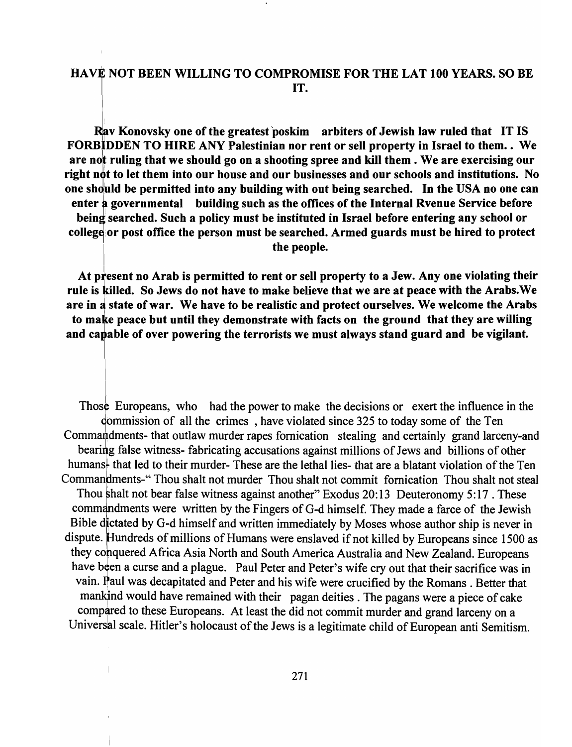# HA vE NOT BEEN WILLING TO COMPROMISE FOR THE LAT 100 YEARS. SO BE IT.

Rav Konovsky one of the greatest poskim arbiters of Jewish law ruled that IT IS FORB DDEN TO HIRE ANY Palestinian nor rent or sell property in Israel to them. . We are not ruling that we should go on a shooting spree and kill them. We are exercising our right not to let them into our house and our businesses and our schools and institutions. No one should be permitted into any building with out being searched. In the USA no one can enter  $a$  governmental building such as the offices of the Internal Rvenue Service before being searched. Such a policy must be instituted in Israel before entering any school or college or post office the person must be searched. Armed guards must be hired to protect the people.

At present no Arab is permitted to rent or sell property to a Jew. Any one violating their rule is killed. So Jews do not have to make believe that we are at peace with the Arabs. We are in a state of war. We have to be realistic and protect ourselves. We welcome the Arabs  $\,$ to make peace but until they demonstrate with facts on the ground that they are willing and capable of over powering the terrorists we must always stand guard and be vigilant.

Those Europeans, who had the power to make the decisions or exert the influence in the dommission of all the crimes, have violated since 325 to today some of the Ten Commandments- that outlaw murder rapes fornication stealing and certainly grand larceny-and bearing false witness- fabricating accusations against millions of Jews and billions of other humans<sup>|</sup> that led to their murder- These are the lethal lies- that are a blatant violation of the Ten Commandments-" Thou shalt not murder Thou shalt not commit fornication Thou shalt not steal Thou shalt not bear false witness against another" Exodus 20:13 Deuteronomy 5:17. These commandments were written by the Fingers of G-d himself. They made a farce of the Jewish Bible dictated by G-d himself and written immediately by Moses whose author ship is never in dispute. Hundreds of millions of Humans were enslaved if not killed by Europeans since 1500 as they conquered Africa Asia North and South America Australia and New Zealand. Europeans have been a curse and a plague. Paul Peter and Peter's wife cry out that their sacrifice was in vain. Paul was decapitated and Peter and his wife were crucified by the Romans. Better that mankind would have remained with their pagan deities. The pagans were a piece of cake compared to these Europeans. At least the did not commit murder and grand larceny on a Universal scale. Hitler's holocaust of the Jews is a legitimate child of European anti Semitism.

 $\begin{array}{c} \hline \end{array}$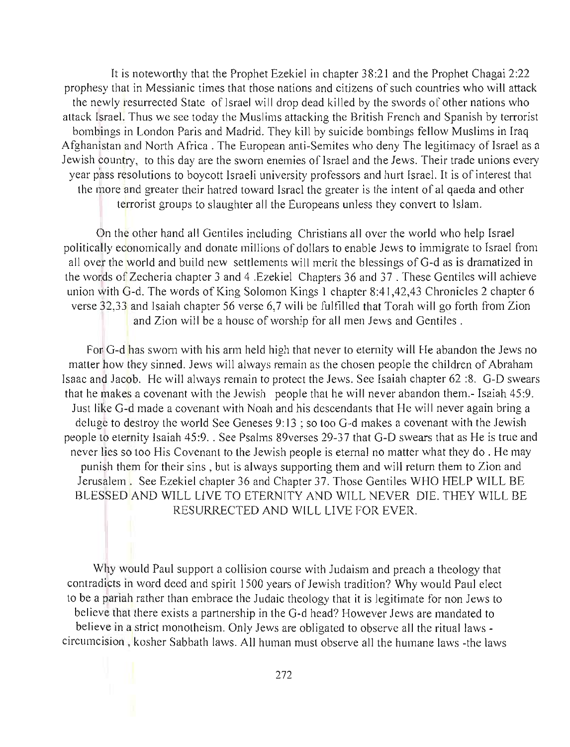It is noteworthy that the Prophet Ezekiel in chapter 38:21 and the Prophet Chagai 2:22 prophesy that in Messianic times that those nations and citizens of such countries who will attack the newly resurrected State of Israel will drop dead killed by the swords of other nations who attack Israel. Thus we see today the Muslims attacking the British French and Spanish by terrorist bombings in London Paris and Madrid. They kill by suicide bombings fellow Muslims in Iraq Afghanistan and North Africa. The European anti-Semites who deny The legitimacy of Israel as a Jewish country, to this day are the sworn enemies of Israel and the Jews. Their trade unions every year pass resolutions to boycott Israeli university professors and hurt Israel. It is of interest that the more and greater their hatred toward Israel the greater is the intent of al qaeda and other terrorist groups to slaughter all the Europeans unless they convert to Islam.

On the other hand all Gentiles including Christians all over the world who help Israel politically economically and donate millions of dollars to enable Jews to immigrate to Israel from all over the world and build new settlements will merit the blessings of G-d as is dramatized in the words of Zecheria chapter 3 and 4 .Ezekiel Chapters 36 and 37 . These Gentiles will achieve union with G-d. The words of King Solomon Kings I chapter 8:41,42,43 Chronicles 2 chapter 6 verse 32,33 and Isaiah chapter 56 verse 6,7 will be fulfilled that Torah will go forth from Zion and Zion will be a house of worship for all men Jews and Gentiles.

For G-d has sworn with his arm held high that never to eternity will He abandon the Jews no matter how they sinned. Jews will always remain as the chosen people the children of Abraham Isaac and Jacob. He will always remain to protect the Jews. See Isaiah chapter 62 :8. G-D swears that he makes a covenant with the Jewish people that he will never abandon them.- Isaiah 45:9. Just like G-d made a covenant with Noah and his descendants that He will never again bring a deluge to destroy the world See Geneses 9: 13 ; so too G-d makes a covenant with the Jewish people to eternity Isaiah 45:9 .. See Psalms 89verses 29-37 that G-D swears that as He is true and never lies so too His Covenant to the Jewish people is eternal no matter what they do . He may punish them for their sins, but is always supporting them and will return them to Zion and Jerusalem. See Ezekiel chapter 36 and Chapter 37. Those Gentiles WHO HELP WILL BE BLESSED AND WILL LIVE TO ETERNITY AND WILL NEVER DIE. THEY WILL BE RESURRECTED AND WILL LIVE FOR EVER.

Why would Paul support a collision course with Judaism and preach a theology that contradicts in word deed and spirit 1500 years of Jewish tradition? Why would Paul elect to be a pariah rather than embrace the Judaic theology that it is legitimate for non Jews to believe that there exists a partnership in the G-d head? However Jews are mandated to believe in a strict monotheism. Only Jews are obligated to observe all the ritual laws circumcision , kosher Sabbath laws. All human must observe all the humane laws -the laws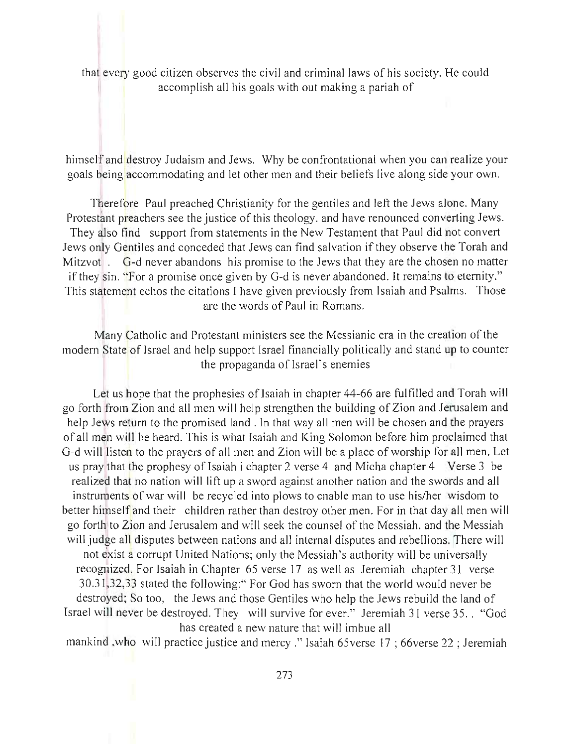that every good citizen observes the civil and criminal laws of his society. He could accomplish all his goals with out making a pariah of

himself and destroy Judaism and Jews. Why be confrontational when you can realize your goals being accommodating and let other men and their beliefs live along side your own.

Therefore Paul preached Christianity for the gentiles and left the Jews alone. Many Protestant preachers see the justice of this theology. and have renounced converting Jews. They also find support from statements in the New Testament that Paul did not convert Jews onJy Gentiles and conceded that Jews can find salvation if they observe the Torah and Mitzvot . G-d never abandons his promise to the Jews that they are the chosen no matter if they sin. "For a promise once given by G-d is never abandoned. It remains to eternity." This statement echos the citations I have given previously from Isaiah and Psalms. Those are the words of Paul in Romans.

Many Catholic and Protestant ministers see the Messianic era in the creation of the modern State of Israel and help support Israel financially politically and stand up to counter the propaganda of Israel's enemies

Let us hope that the prophesies of Isaiah in chapter 44-66 are fulfilled and Torah will go forth from Zion and all men will help strengthen the building of Zion and Jerusalem and help Jews return to the promised land. In that way all men will be chosen and the prayers of all men will be heard. This is what Isaiah and King Solomon before him proclaimed that G-d will listen to the prayers of all men and Zion will be a place of worship for all men. Let us pray that the prophesy of Isaiah i chapter 2 verse 4 and Micha chapter 4 Verse 3 be realized that no nation will lift up a sword against another nation and the swords and all instruments of war will be recycled into plows to enable man to use his/her wisdom to better himself and their children rather than destroy other men. For in that day all men will go forth to Zion and Jerusalem and will seek the counsel of the Messiah. and the Messiah will judge all disputes between nations and all internal disputes and rebellions. There will not exist a corrupt United Nations; only the Messiah's authority will be universally recognized. For Isaiah in Chapter 65 verse 17 as well as Jeremiah chapter 31 verse 30.3 I ,32,33 stated the following:" For God has sworn that the world would never be destroyed; So too, the Jews and those Gentiles who help the Jews rebuild the land of Israel will never be destroyed. They will survive for ever." Jeremiah 31 verse 35 .. "God has created a new nature that will imbue all

mankind ,who will practice justice and mercy ." Isaiah 65verse 17 ; 66verse 22 ; Jeremiah